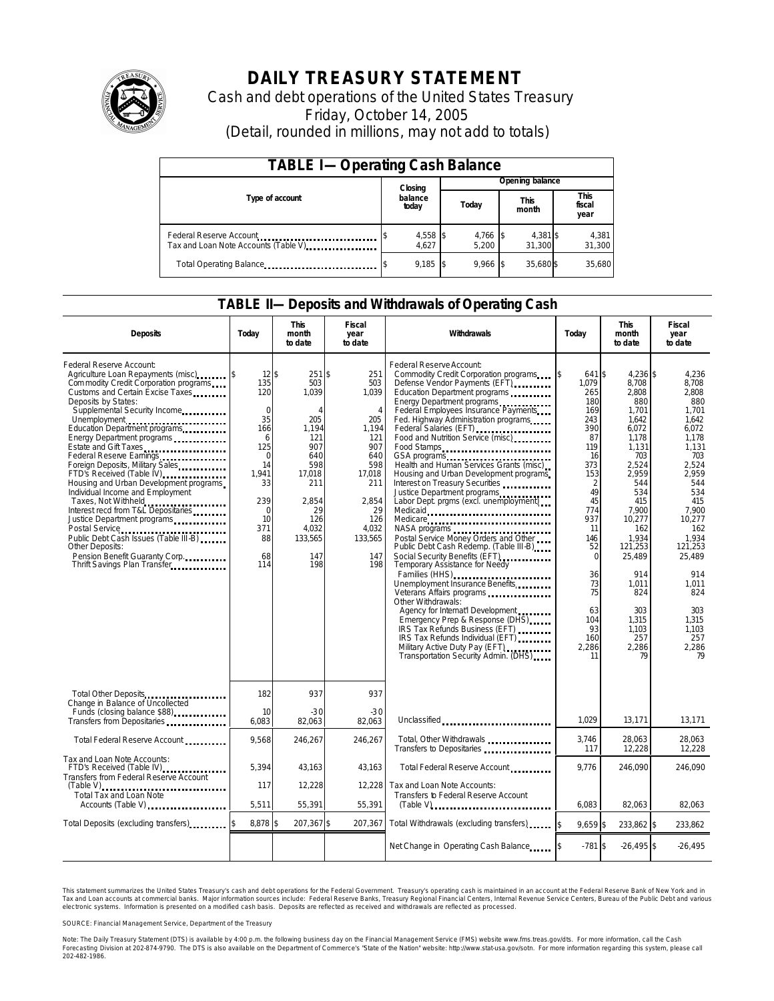

# **DAILY TREASURY STATEMENT**

Cash and debt operations of the United States Treasury Friday, October 14, 2005 (Detail, rounded in millions, may not add to totals)

| <b>TABLE I-Operating Cash Balance</b> |  |                             |  |                 |  |                      |  |                        |  |
|---------------------------------------|--|-----------------------------|--|-----------------|--|----------------------|--|------------------------|--|
|                                       |  | Closing<br>balance<br>today |  | Opening balance |  |                      |  |                        |  |
| Type of account                       |  |                             |  | Today           |  | <b>This</b><br>month |  | This<br>fiscal<br>year |  |
| Tax and Loan Note Accounts (Table V). |  | 4,558 \$<br>4.627           |  | 4,766<br>5.200  |  | 4,381 \$<br>31.300   |  | 4,381<br>31,300        |  |
| Total Operating Balance               |  | $9,185$ \$                  |  | $9.966$ \$      |  | 35.680\$             |  | 35,680                 |  |

### **TABLE II—Deposits and Withdrawals of Operating Cash**

| <b>Deposits</b>                                                                                                                                                                                                                                                                                                                                                                                                                                                                                                                                                                                                                                                                                                                                       | Todav                                                                                                                                          | <b>This</b><br>month<br>to date                                                                                                                    | <b>Fiscal</b><br>year<br>to date                                                                                                                           | Withdrawals                                                                                                                                                                                                                                                                                                                                                                                                                                                                                                                                                                                                                                                                                                                                                                                                                                                                                                                                                                                                                      | Todav                                                                                                                                                                                                                     | <b>This</b><br>month<br>to date                                                                                                                                                                                                                            | Fiscal<br>year<br>to date                                                                                                                                                                                                                               |
|-------------------------------------------------------------------------------------------------------------------------------------------------------------------------------------------------------------------------------------------------------------------------------------------------------------------------------------------------------------------------------------------------------------------------------------------------------------------------------------------------------------------------------------------------------------------------------------------------------------------------------------------------------------------------------------------------------------------------------------------------------|------------------------------------------------------------------------------------------------------------------------------------------------|----------------------------------------------------------------------------------------------------------------------------------------------------|------------------------------------------------------------------------------------------------------------------------------------------------------------|----------------------------------------------------------------------------------------------------------------------------------------------------------------------------------------------------------------------------------------------------------------------------------------------------------------------------------------------------------------------------------------------------------------------------------------------------------------------------------------------------------------------------------------------------------------------------------------------------------------------------------------------------------------------------------------------------------------------------------------------------------------------------------------------------------------------------------------------------------------------------------------------------------------------------------------------------------------------------------------------------------------------------------|---------------------------------------------------------------------------------------------------------------------------------------------------------------------------------------------------------------------------|------------------------------------------------------------------------------------------------------------------------------------------------------------------------------------------------------------------------------------------------------------|---------------------------------------------------------------------------------------------------------------------------------------------------------------------------------------------------------------------------------------------------------|
| Federal Reserve Account:<br>Agriculture Loan Repayments (misc)<br>Com modity Credit Corporation programs<br>Customs and Certain Excise Taxes<br>Deposits by States:<br>Supplemental Security Income<br>Unemployment<br>Education Department programs<br>Energy Department programs<br>Estate and Gift Taxes<br>Federal Reserve Earnings<br>Foreign Deposits, Military Sales<br>FTD's Received (Table IV)<br>FTD's Received (Table IV)<br>Housing and Urban Development programs<br>Individual Income and Employment<br>Taxes, Not Withheld<br>Interest recd from T&L Depositaries<br>Justice Department programs<br>Public Debt Cash Issues (Table III-B)<br><b>Other Deposits:</b><br>Pension Benefit Guaranty Corp.<br>Thrift Savings Plan Transfer | $12$ \$<br>135<br>120<br>$\Omega$<br>35<br>166<br>6<br>125<br>$\Omega$<br>14<br>1.941<br>33<br>239<br>$\Omega$<br>10<br>371<br>88<br>68<br>114 | $251$ \$<br>503<br>1,039<br>Δ<br>205<br>1,194<br>121<br>907<br>640<br>598<br>17,018<br>211<br>2,854<br>29<br>126<br>4.032<br>133,565<br>147<br>198 | 251<br>503<br>1,039<br>$\overline{4}$<br>205<br>1,194<br>121<br>907<br>640<br>598<br>17,018<br>211<br>2,854<br>29<br>126<br>4.032<br>133,565<br>147<br>198 | Federal Reserve Account:<br>Commodity Credit Corporation programs<br>Defense Vendor Payments (EFT)<br>Education Department programs<br>Energy Department programs<br>Federal Employees Insurance Payments<br>Fed. Highway Administration programs<br>Federal Salaries (EFT)<br>Food and Nutrition Service (misc) [100]<br>Food Stamps<br>GSA programs<br>Health and Human Services Grants (misc)<br>Housing and Urban Development programs<br>Interest on Treasury Securities<br>Justice Department programs<br>Labor Dept. prgms (excl. unemployment)<br>Medicare<br>Postal Service Money Orders and Other<br>Public Debt Cash Redemp. (Table III-B)<br>Social Security Benefits (EFT)<br><br>Temporary Assistance for Needy<br>Families (HHS)<br>Unemployment Insurance Benefits<br>Other Withdrawals:<br>Agency for Internat'l Development<br>Emergency Prep & Response (DHS)<br>IRS Tax Refunds Business (EFT)<br>IRS Tax Refunds Individual (EFT)<br>Military Active Duty Pay (EFT)<br>Transportation Security Admin. (DHS) | 641 \$<br>1.079<br>265<br>180<br>169<br>243<br>390<br>87<br>119<br>16<br>373<br>153<br>$\overline{2}$<br>49<br>45<br>774<br>937<br>11<br>146<br>52<br>$\Omega$<br>36<br>73<br>75<br>63<br>104<br>93<br>160<br>2,286<br>11 | 4,236 \$<br>8,708<br>2.808<br>880<br>1,701<br>1.642<br>6.072<br>1,178<br>1,131<br>703<br>2,524<br>2,959<br>544<br>534<br>415<br>7,900<br>10,277<br>162<br>1.934<br>121,253<br>25,489<br>914<br>1,011<br>824<br>303<br>1,315<br>1,103<br>257<br>2,286<br>79 | 4,236<br>8.708<br>2.808<br>880<br>1.701<br>1.642<br>6.072<br>1,178<br>1,131<br>703<br>2,524<br>2,959<br>544<br>534<br>415<br>7,900<br>10.277<br>162<br>1.934<br>121,253<br>25,489<br>914<br>1.011<br>824<br>303<br>1,315<br>1.103<br>257<br>2,286<br>79 |
| Total Other Deposits                                                                                                                                                                                                                                                                                                                                                                                                                                                                                                                                                                                                                                                                                                                                  | 182                                                                                                                                            | 937                                                                                                                                                | 937                                                                                                                                                        |                                                                                                                                                                                                                                                                                                                                                                                                                                                                                                                                                                                                                                                                                                                                                                                                                                                                                                                                                                                                                                  |                                                                                                                                                                                                                           |                                                                                                                                                                                                                                                            |                                                                                                                                                                                                                                                         |
| Change in Balance of Uncollected<br>Funds (closing balance \$88)<br>Funds (closing balance \$88)<br>Transfers from Depositaries                                                                                                                                                                                                                                                                                                                                                                                                                                                                                                                                                                                                                       | 10<br>6,083                                                                                                                                    | $-30$<br>82,063                                                                                                                                    | $-30$<br>82.063                                                                                                                                            | Unclassified                                                                                                                                                                                                                                                                                                                                                                                                                                                                                                                                                                                                                                                                                                                                                                                                                                                                                                                                                                                                                     | 1.029                                                                                                                                                                                                                     | 13,171                                                                                                                                                                                                                                                     | 13,171                                                                                                                                                                                                                                                  |
| Total Federal Reserve Account                                                                                                                                                                                                                                                                                                                                                                                                                                                                                                                                                                                                                                                                                                                         | 9.568                                                                                                                                          | 246,267                                                                                                                                            | 246.267                                                                                                                                                    | Total, Other Withdrawals<br>Transfers to Depositaries                                                                                                                                                                                                                                                                                                                                                                                                                                                                                                                                                                                                                                                                                                                                                                                                                                                                                                                                                                            | 3,746<br>117                                                                                                                                                                                                              | 28,063<br>12,228                                                                                                                                                                                                                                           | 28.063<br>12,228                                                                                                                                                                                                                                        |
| Tax and Loan Note Accounts:<br>FTD's Received (Table IV)<br>Transfers from Federal Reserve Account                                                                                                                                                                                                                                                                                                                                                                                                                                                                                                                                                                                                                                                    | 5,394                                                                                                                                          | 43,163                                                                                                                                             | 43,163                                                                                                                                                     | Total Federal Reserve Account                                                                                                                                                                                                                                                                                                                                                                                                                                                                                                                                                                                                                                                                                                                                                                                                                                                                                                                                                                                                    | 9,776                                                                                                                                                                                                                     | 246,090                                                                                                                                                                                                                                                    | 246,090                                                                                                                                                                                                                                                 |
| $(Table V)$<br>Total Tax and Loan Note<br>Accounts (Table V)                                                                                                                                                                                                                                                                                                                                                                                                                                                                                                                                                                                                                                                                                          | 117<br>5,511                                                                                                                                   | 12,228<br>55,391                                                                                                                                   | 12.228<br>55,391                                                                                                                                           | Tax and Loan Note Accounts:<br>Transfers to Federal Reserve Account<br>$(Table V)$                                                                                                                                                                                                                                                                                                                                                                                                                                                                                                                                                                                                                                                                                                                                                                                                                                                                                                                                               | 6.083                                                                                                                                                                                                                     | 82,063                                                                                                                                                                                                                                                     | 82,063                                                                                                                                                                                                                                                  |
| Total Deposits (excluding transfers)                                                                                                                                                                                                                                                                                                                                                                                                                                                                                                                                                                                                                                                                                                                  | 8.878 \$                                                                                                                                       | 207,367 \$                                                                                                                                         | 207,367                                                                                                                                                    | Total Withdrawals (excluding transfers)                                                                                                                                                                                                                                                                                                                                                                                                                                                                                                                                                                                                                                                                                                                                                                                                                                                                                                                                                                                          | $9.659$ \$<br>l\$                                                                                                                                                                                                         | 233,862 \$                                                                                                                                                                                                                                                 | 233,862                                                                                                                                                                                                                                                 |
|                                                                                                                                                                                                                                                                                                                                                                                                                                                                                                                                                                                                                                                                                                                                                       |                                                                                                                                                |                                                                                                                                                    |                                                                                                                                                            | Net Change in Operating Cash Balance                                                                                                                                                                                                                                                                                                                                                                                                                                                                                                                                                                                                                                                                                                                                                                                                                                                                                                                                                                                             | $-781$ \$                                                                                                                                                                                                                 | $-26,495$ \$                                                                                                                                                                                                                                               | $-26,495$                                                                                                                                                                                                                                               |

This statement summarizes the United States Treasury's cash and debt operations for the Federal Government. Treasury's operating cash is maintained in an account at the Federal Reserve Bank of New York and in Tax and Loan accounts at commercial banks. Major information sources include: Federal Reserve Banks, Treasury Regional Financial Centers, Internal Revenue Service Centers, Bureau of the Public Debt and various<br>electronic s

SOURCE: Financial Management Service, Department of the Treasury

Note: The Daily Treasury Statement (DTS) is available by 4:00 p.m. the following business day on the Financial Management Service (FMS) website www.fms.treas.gov/dts.<br>Forecasting Division at 202-874-9790. The DTS is also a 'S) is available by 4:00 p.m. the following business day on the Financial Management Service (FMS) website www.fms.treas.gov/dts. For more information, call the Cash<br>The DTS is also available on the Department of Commerce'